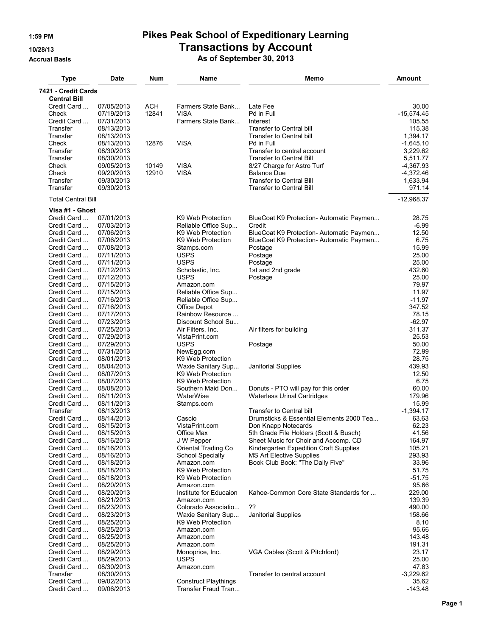## **1:59 PM Pikes Peak School of Expeditionary Learning 10/28/13 Transactions by Account**

**Accrual Basis As of September 30, 2013**

| <b>Type</b>                | <b>Date</b>              | Num        | Name                                   | Memo                                                            | <b>Amount</b>        |
|----------------------------|--------------------------|------------|----------------------------------------|-----------------------------------------------------------------|----------------------|
| 7421 - Credit Cards        |                          |            |                                        |                                                                 |                      |
| <b>Central Bill</b>        |                          |            |                                        |                                                                 |                      |
| Credit Card                | 07/05/2013               | <b>ACH</b> | Farmers State Bank                     | Late Fee                                                        | 30.00                |
| Check                      | 07/19/2013               | 12841      | <b>VISA</b>                            | Pd in Full                                                      | $-15,574.45$         |
| Credit Card                | 07/31/2013               |            | Farmers State Bank                     | Interest                                                        | 105.55               |
| Transfer                   | 08/13/2013               |            |                                        | <b>Transfer to Central bill</b>                                 | 115.38               |
| Transfer                   | 08/13/2013               |            |                                        | Transfer to Central bill                                        | 1,394.17             |
| Check                      | 08/13/2013               | 12876      | <b>VISA</b>                            | Pd in Full                                                      | $-1,645.10$          |
| Transfer<br>Transfer       | 08/30/2013               |            |                                        | Transfer to central account<br><b>Transfer to Central Bill</b>  | 3,229.62<br>5,511.77 |
| Check                      | 08/30/2013<br>09/05/2013 | 10149      | <b>VISA</b>                            |                                                                 | $-4,367.93$          |
| Check                      | 09/20/2013               | 12910      | <b>VISA</b>                            | 8/27 Charge for Astro Turf<br><b>Balance Due</b>                | $-4,372.46$          |
| Transfer                   | 09/30/2013               |            |                                        | <b>Transfer to Central Bill</b>                                 | 1,633.94             |
| Transfer                   | 09/30/2013               |            |                                        | <b>Transfer to Central Bill</b>                                 | 971.14               |
|                            |                          |            |                                        |                                                                 |                      |
| <b>Total Central Bill</b>  |                          |            |                                        |                                                                 | $-12,968.37$         |
| Visa #1 - Ghost            |                          |            |                                        |                                                                 |                      |
| Credit Card                | 07/01/2013               |            | K9 Web Protection                      | BlueCoat K9 Protection- Automatic Paymen                        | 28.75                |
| Credit Card                | 07/03/2013               |            | Reliable Office Sup                    | Credit                                                          | $-6.99$              |
| Credit Card                | 07/06/2013<br>07/06/2013 |            | K9 Web Protection<br>K9 Web Protection | BlueCoat K9 Protection- Automatic Paymen                        | 12.50<br>6.75        |
| Credit Card<br>Credit Card | 07/08/2013               |            |                                        | BlueCoat K9 Protection- Automatic Paymen                        | 15.99                |
| Credit Card                | 07/11/2013               |            | Stamps.com<br><b>USPS</b>              | Postage                                                         | 25.00                |
| Credit Card                | 07/11/2013               |            | <b>USPS</b>                            | Postage<br>Postage                                              | 25.00                |
| Credit Card                | 07/12/2013               |            | Scholastic, Inc.                       | 1st and 2nd grade                                               | 432.60               |
| Credit Card                | 07/12/2013               |            | <b>USPS</b>                            | Postage                                                         | 25.00                |
| Credit Card                | 07/15/2013               |            | Amazon.com                             |                                                                 | 79.97                |
| Credit Card                | 07/15/2013               |            | Reliable Office Sup                    |                                                                 | 11.97                |
| Credit Card                | 07/16/2013               |            | Reliable Office Sup                    |                                                                 | $-11.97$             |
| Credit Card                | 07/16/2013               |            | Office Depot                           |                                                                 | 347.52               |
| Credit Card                | 07/17/2013               |            | Rainbow Resource                       |                                                                 | 78.15                |
| Credit Card                | 07/23/2013               |            | Discount School Su                     |                                                                 | $-62.97$             |
| Credit Card                | 07/25/2013               |            | Air Filters, Inc.                      | Air filters for building                                        | 311.37               |
| Credit Card                | 07/29/2013               |            | VistaPrint.com                         |                                                                 | 25.53                |
| Credit Card                | 07/29/2013               |            | <b>USPS</b>                            | Postage                                                         | 50.00                |
| Credit Card                | 07/31/2013               |            | NewEgg.com                             |                                                                 | 72.99                |
| Credit Card                | 08/01/2013               |            | K9 Web Protection                      |                                                                 | 28.75                |
| Credit Card                | 08/04/2013               |            | Waxie Sanitary Sup                     | <b>Janitorial Supplies</b>                                      | 439.93               |
| Credit Card                | 08/07/2013               |            | K9 Web Protection                      |                                                                 | 12.50                |
| Credit Card                | 08/07/2013               |            | K9 Web Protection                      |                                                                 | 6.75                 |
| Credit Card                | 08/08/2013               |            | Southern Maid Don                      | Donuts - PTO will pay for this order                            | 60.00                |
| Credit Card                | 08/11/2013               |            | WaterWise                              | Waterless Urinal Cartridges                                     | 179.96               |
| Credit Card                | 08/11/2013               |            | Stamps.com                             |                                                                 | 15.99                |
| Transfer                   | 08/13/2013               |            |                                        | <b>Transfer to Central bill</b>                                 | $-1,394.17$          |
| Credit Card<br>Credit Card | 08/14/2013<br>08/15/2013 |            | Cascio<br>VistaPrint.com               | Drumsticks & Essential Elements 2000 Tea<br>Don Knapp Notecards | 63.63<br>62.23       |
| Credit Card                | 08/15/2013               |            | Office Max                             | 5th Grade File Holders (Scott & Busch)                          | 41.56                |
| Credit Card                | 08/16/2013               |            | J W Pepper                             | Sheet Music for Choir and Accomp. CD                            | 164.97               |
| Credit Card                | 08/16/2013               |            | Oriental Trading Co                    | Kindergarten Expedition Craft Supplies                          | 105.21               |
| Credit Card                | 08/16/2013               |            | <b>School Specialty</b>                | <b>MS Art Elective Supplies</b>                                 | 293.93               |
| Credit Card                | 08/18/2013               |            | Amazon.com                             | Book Club Book: "The Daily Five"                                | 33.96                |
| Credit Card                | 08/18/2013               |            | K9 Web Protection                      |                                                                 | 51.75                |
| Credit Card                | 08/18/2013               |            | K9 Web Protection                      |                                                                 | $-51.75$             |
| Credit Card                | 08/20/2013               |            | Amazon.com                             |                                                                 | 95.66                |
| Credit Card                | 08/20/2013               |            | Institute for Educaion                 | Kahoe-Common Core State Standards for                           | 229.00               |
| Credit Card                | 08/21/2013               |            | Amazon.com                             |                                                                 | 139.39               |
| Credit Card                | 08/23/2013               |            | Colorado Associatio                    | ??                                                              | 490.00               |
| Credit Card                | 08/23/2013               |            | Waxie Sanitary Sup                     | Janitorial Supplies                                             | 158.66               |
| Credit Card                | 08/25/2013               |            | K9 Web Protection                      |                                                                 | 8.10                 |
| Credit Card                | 08/25/2013               |            | Amazon.com                             |                                                                 | 95.66                |
| Credit Card                | 08/25/2013               |            | Amazon.com                             |                                                                 | 143.48               |
| Credit Card                | 08/25/2013               |            | Amazon.com                             |                                                                 | 191.31               |
| Credit Card                | 08/29/2013               |            | Monoprice, Inc.                        | VGA Cables (Scott & Pitchford)                                  | 23.17                |
| Credit Card                | 08/29/2013               |            | <b>USPS</b>                            |                                                                 | 25.00                |
| Credit Card                | 08/30/2013               |            | Amazon.com                             |                                                                 | 47.83                |
| Transfer                   | 08/30/2013               |            |                                        | Transfer to central account                                     | $-3,229.62$          |
| Credit Card                | 09/02/2013               |            | <b>Construct Playthings</b>            |                                                                 | 35.62                |
| Credit Card                | 09/06/2013               |            | Transfer Fraud Tran                    |                                                                 | $-143.48$            |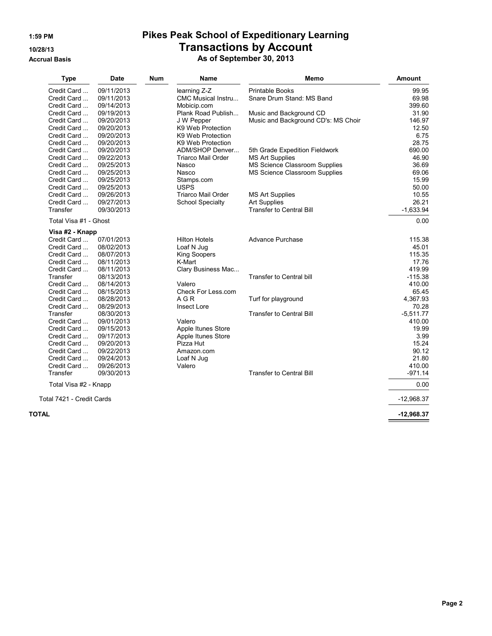# **1:59 PM Pikes Peak School of Expeditionary Learning 10/28/13 Transactions by Account**

**Accrual Basis As of September 30, 2013**

|       | <b>Type</b>               | <b>Date</b>              | <b>Num</b> | <b>Name</b>                   | Memo                                | <b>Amount</b>       |
|-------|---------------------------|--------------------------|------------|-------------------------------|-------------------------------------|---------------------|
|       | Credit Card               | 09/11/2013               |            | learning Z-Z                  | <b>Printable Books</b>              | 99.95               |
|       | Credit Card               | 09/11/2013               |            | CMC Musical Instru            | Snare Drum Stand: MS Band           | 69.98               |
|       | Credit Card               | 09/14/2013               |            | Mobicip.com                   |                                     | 399.60              |
|       | Credit Card               | 09/19/2013               |            | Plank Road Publish            | Music and Background CD             | 31.90               |
|       | Credit Card               | 09/20/2013               |            | J W Pepper                    | Music and Background CD's: MS Choir | 146.97              |
|       | Credit Card               | 09/20/2013               |            | K9 Web Protection             |                                     | 12.50               |
|       | Credit Card               | 09/20/2013               |            | K9 Web Protection             |                                     | 6.75                |
|       | Credit Card               | 09/20/2013               |            | K9 Web Protection             |                                     | 28.75               |
|       | Credit Card               | 09/20/2013               |            | ADM/SHOP Denver               | 5th Grade Expedition Fieldwork      | 690.00              |
|       | Credit Card               | 09/22/2013               |            | <b>Triarco Mail Order</b>     | <b>MS Art Supplies</b>              | 46.90               |
|       | Credit Card               | 09/25/2013               |            | Nasco                         | MS Science Classroom Supplies       | 36.69               |
|       | Credit Card               | 09/25/2013               |            | Nasco                         | MS Science Classroom Supplies       | 69.06               |
|       | Credit Card               | 09/25/2013               |            | Stamps.com                    |                                     | 15.99               |
|       | Credit Card               | 09/25/2013               |            | <b>USPS</b>                   |                                     | 50.00               |
|       | Credit Card               | 09/26/2013               |            | Triarco Mail Order            | <b>MS Art Supplies</b>              | 10.55               |
|       | Credit Card               | 09/27/2013               |            | <b>School Specialty</b>       | <b>Art Supplies</b>                 | 26.21               |
|       | Transfer                  | 09/30/2013               |            |                               | <b>Transfer to Central Bill</b>     | $-1,633.94$         |
|       | Total Visa #1 - Ghost     |                          |            |                               |                                     | 0.00                |
|       | Visa #2 - Knapp           |                          |            |                               |                                     |                     |
|       | Credit Card               | 07/01/2013               |            | <b>Hilton Hotels</b>          | Advance Purchase                    | 115.38              |
|       | Credit Card               | 08/02/2013               |            | Loaf N Jug                    |                                     | 45.01               |
|       | Credit Card               | 08/07/2013               |            | <b>King Soopers</b><br>K-Mart |                                     | 115.35              |
|       | Credit Card               | 08/11/2013               |            |                               |                                     | 17.76               |
|       | Credit Card               | 08/11/2013               |            | Clary Business Mac            |                                     | 419.99              |
|       | Transfer<br>Credit Card   | 08/13/2013               |            | Valero                        | <b>Transfer to Central bill</b>     | $-115.38$<br>410.00 |
|       | Credit Card               | 08/14/2013<br>08/15/2013 |            | Check For Less.com            |                                     | 65.45               |
|       | Credit Card               | 08/28/2013               |            | A G R                         | Turf for playground                 | 4.367.93            |
|       | Credit Card               | 08/29/2013               |            | Insect Lore                   |                                     | 70.28               |
|       | Transfer                  | 08/30/2013               |            |                               | <b>Transfer to Central Bill</b>     | $-5,511.77$         |
|       | Credit Card               | 09/01/2013               |            | Valero                        |                                     | 410.00              |
|       | Credit Card               | 09/15/2013               |            | Apple Itunes Store            |                                     | 19.99               |
|       | Credit Card               | 09/17/2013               |            | Apple Itunes Store            |                                     | 3.99                |
|       | Credit Card               | 09/20/2013               |            | Pizza Hut                     |                                     | 15.24               |
|       | Credit Card               | 09/22/2013               |            | Amazon.com                    |                                     | 90.12               |
|       | Credit Card               | 09/24/2013               |            | Loaf N Jug                    |                                     | 21.80               |
|       | Credit Card               | 09/26/2013               |            | Valero                        |                                     | 410.00              |
|       | Transfer                  | 09/30/2013               |            |                               | <b>Transfer to Central Bill</b>     | $-971.14$           |
|       | Total Visa #2 - Knapp     |                          |            |                               |                                     | 0.00                |
|       | Total 7421 - Credit Cards |                          |            |                               |                                     | $-12,968.37$        |
|       |                           |                          |            |                               |                                     |                     |
| TOTAL |                           |                          |            |                               |                                     | $-12,968.37$        |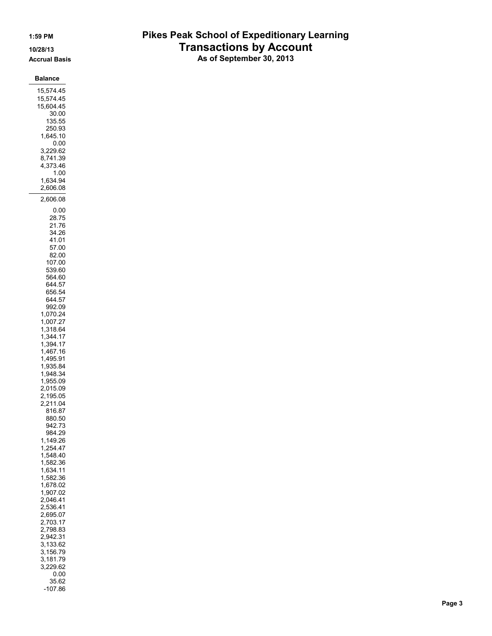### 1:59 PM

10/28/13

### **Accrual Basis**

**Balance** 15,574.45 15,574.45 15,604.45 30.00 135.55

| 250.93   |  |
|----------|--|
| 1,645.10 |  |
| ი იი     |  |
| 3,229.62 |  |
| 8,741.39 |  |
| 4,373.46 |  |
| 1 00     |  |
| 1,634.94 |  |
| 2.606.08 |  |
| 2.606.08 |  |
| 0.00     |  |
| ດດ - 7 F |  |

 $\overline{2}$ 

28.75 21.76 34.26 41.01

> 57.00 82.00

992.09 1,070.24

107.00 539.60 564.60 644.57 656.54 644.57

1,007.27 1,318.64 1,344.17 1,394.17 1,467.16 1,495.91 1,935.84 1,948.34

> 1,955.09 2,015.09 2,195.05 2,211.04 816.87 880.50

942.73 984.29 1,149.26 1,254.47 1,548.40 1,582.36 1,634.11 1,582.36

1,678.02 1,907.02 2,046.41 2,536.41 2,695.07 2,703.17 2,798.83 2,942.31 3,133.62 3,156.79 3,181.79 3,229.62  $0.00\,$ 35.62  $-107.86$ 

## **Pikes Peak School of Expeditionary Learning Transactions by Account**

As of September 30, 2013

Page 3